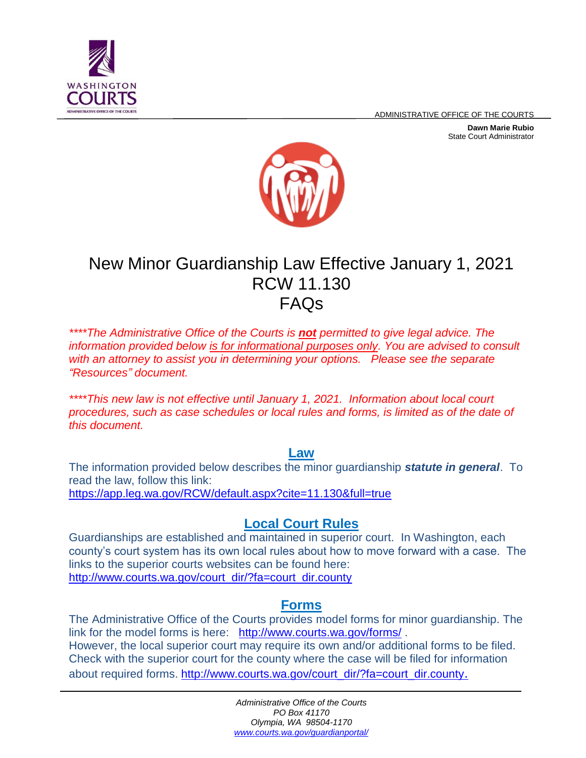

ADMINISTRATIVE OFFICE OF THE COURTS

**Dawn Marie Rubio** State Court Administrator



# New Minor Guardianship Law Effective January 1, 2021 RCW 11.130 FAQs

*\*\*\*\*The Administrative Office of the Courts is not permitted to give legal advice. The information provided below is for informational purposes only. You are advised to consult with an attorney to assist you in determining your options. Please see the separate "Resources" document.*

*\*\*\*\*This new law is not effective until January 1, 2021. Information about local court procedures, such as case schedules or local rules and forms, is limited as of the date of this document.* 

**Law**

The information provided below describes the minor guardianship *statute in general*. To read the law, follow this link: <https://app.leg.wa.gov/RCW/default.aspx?cite=11.130&full=true>

# **Local Court Rules**

Guardianships are established and maintained in superior court. In Washington, each county's court system has its own local rules about how to move forward with a case. The links to the superior courts websites can be found here: [http://www.courts.wa.gov/court\\_dir/?fa=court\\_dir.county](http://www.courts.wa.gov/court_dir/?fa=court_dir.county)

#### **Forms**

The Administrative Office of the Courts provides model forms for minor guardianship. The link for the model forms is here: <http://www.courts.wa.gov/forms/> . However, the local superior court may require its own and/or additional forms to be filed. Check with the superior court for the county where the case will be filed for information about required forms. [http://www.courts.wa.gov/court\\_dir/?fa=court\\_dir.county](http://www.courts.wa.gov/court_dir/?fa=court_dir.county).

> *Administrative Office of the Courts PO Box 41170 Olympia, WA 98504-1170 www.courts.wa.gov/guardianportal/*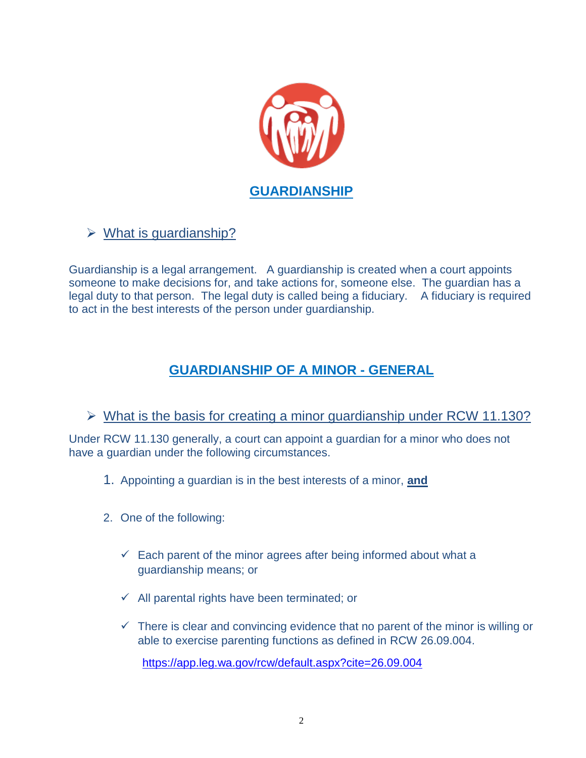

# $\triangleright$  What is guardianship?

Guardianship is a legal arrangement. A guardianship is created when a court appoints someone to make decisions for, and take actions for, someone else. The guardian has a legal duty to that person. The legal duty is called being a fiduciary. A fiduciary is required to act in the best interests of the person under guardianship.

# **GUARDIANSHIP OF A MINOR - GENERAL**

#### $\triangleright$  What is the basis for creating a minor guardianship under RCW 11.130?

Under RCW 11.130 generally, a court can appoint a guardian for a minor who does not have a guardian under the following circumstances.

- 1. Appointing a guardian is in the best interests of a minor, **and**
- 2. One of the following:
	- $\checkmark$  Each parent of the minor agrees after being informed about what a guardianship means; or
	- $\checkmark$  All parental rights have been terminated; or
	- $\checkmark$  There is clear and convincing evidence that no parent of the minor is willing or able to exercise parenting functions as defined in RCW 26.09.004.

<https://app.leg.wa.gov/rcw/default.aspx?cite=26.09.004>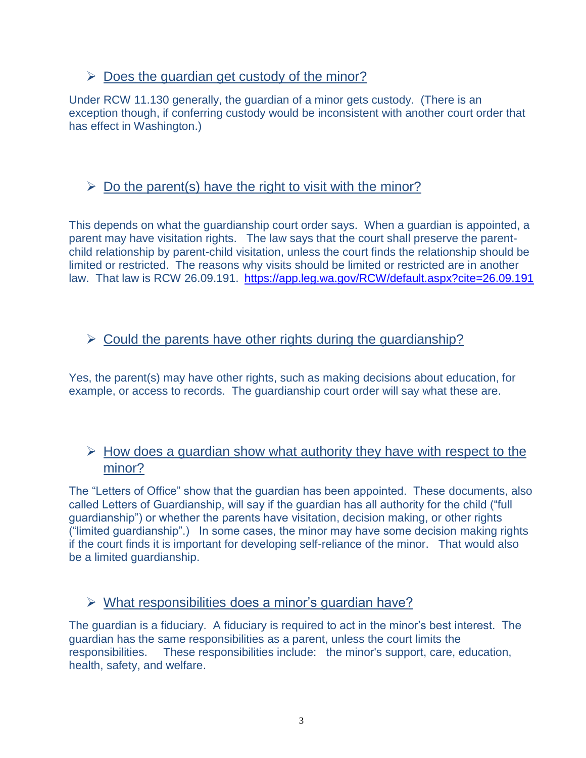# $\triangleright$  Does the guardian get custody of the minor?

Under RCW 11.130 generally, the guardian of a minor gets custody. (There is an exception though, if conferring custody would be inconsistent with another court order that has effect in Washington.)

# $\triangleright$  Do the parent(s) have the right to visit with the minor?

This depends on what the guardianship court order says. When a guardian is appointed, a parent may have visitation rights. The law says that the court shall preserve the parentchild relationship by parent-child visitation, unless the court finds the relationship should be limited or restricted. The reasons why visits should be limited or restricted are in another law. That law is RCW 26.09.191. <https://app.leg.wa.gov/RCW/default.aspx?cite=26.09.191>

#### $\triangleright$  Could the parents have other rights during the quardianship?

Yes, the parent(s) may have other rights, such as making decisions about education, for example, or access to records. The guardianship court order will say what these are.

# $\triangleright$  How does a guardian show what authority they have with respect to the minor?

The "Letters of Office" show that the guardian has been appointed. These documents, also called Letters of Guardianship, will say if the guardian has all authority for the child ("full guardianship") or whether the parents have visitation, decision making, or other rights ("limited guardianship".) In some cases, the minor may have some decision making rights if the court finds it is important for developing self-reliance of the minor. That would also be a limited guardianship.

#### $\triangleright$  What responsibilities does a minor's guardian have?

The guardian is a fiduciary. A fiduciary is required to act in the minor's best interest. The guardian has the same responsibilities as a parent, unless the court limits the responsibilities. These responsibilities include: the minor's support, care, education, health, safety, and welfare.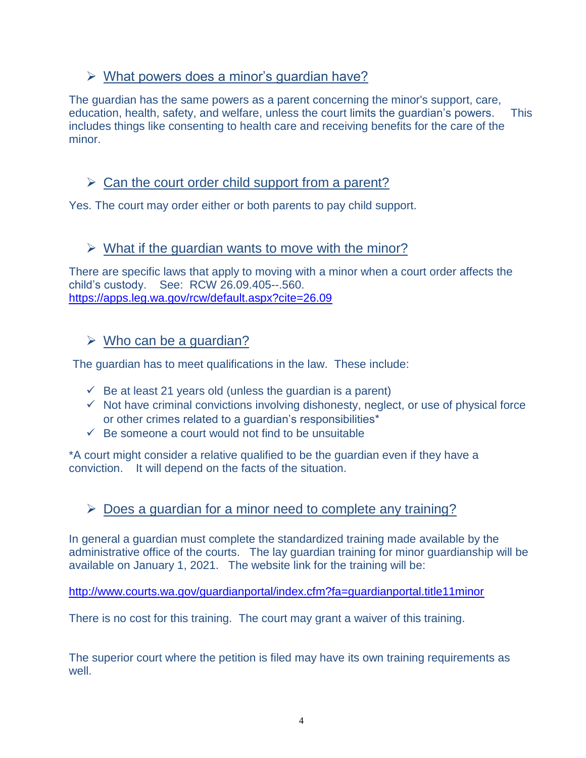# What powers does a minor's guardian have?

The guardian has the same powers as a parent concerning the minor's support, care, education, health, safety, and welfare, unless the court limits the guardian's powers. This includes things like consenting to health care and receiving benefits for the care of the minor.

# $\triangleright$  Can the court order child support from a parent?

Yes. The court may order either or both parents to pay child support.

# $\triangleright$  What if the quardian wants to move with the minor?

There are specific laws that apply to moving with a minor when a court order affects the child's custody. See: RCW 26.09.405--.560. <https://apps.leg.wa.gov/rcw/default.aspx?cite=26.09>

#### $\triangleright$  Who can be a guardian?

The guardian has to meet qualifications in the law. These include:

- $\checkmark$  Be at least 21 years old (unless the quardian is a parent)
- $\checkmark$  Not have criminal convictions involving dishonesty, neglect, or use of physical force or other crimes related to a guardian's responsibilities\*
- $\checkmark$  Be someone a court would not find to be unsuitable

\*A court might consider a relative qualified to be the guardian even if they have a conviction. It will depend on the facts of the situation.

# $\triangleright$  Does a guardian for a minor need to complete any training?

In general a guardian must complete the standardized training made available by the administrative office of the courts. The lay guardian training for minor guardianship will be available on January 1, 2021. The website link for the training will be:

<http://www.courts.wa.gov/guardianportal/index.cfm?fa=guardianportal.title11minor>

There is no cost for this training. The court may grant a waiver of this training.

The superior court where the petition is filed may have its own training requirements as well.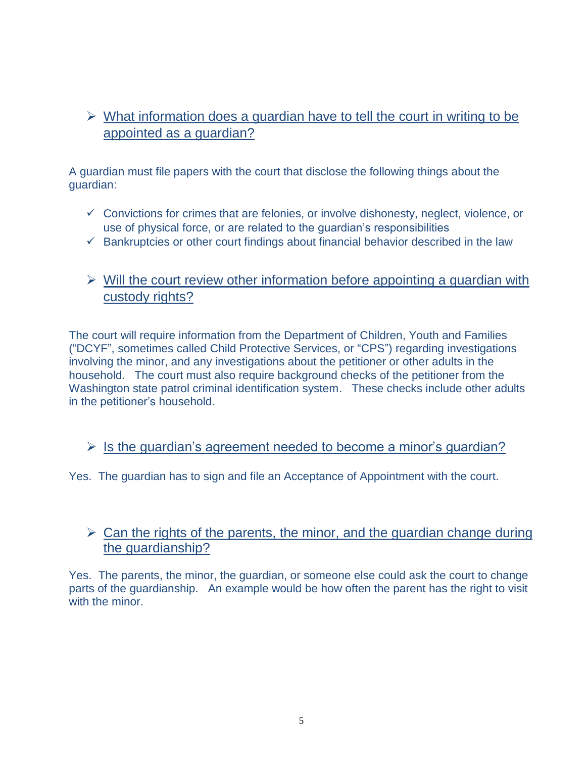# $\triangleright$  What information does a guardian have to tell the court in writing to be appointed as a guardian?

A guardian must file papers with the court that disclose the following things about the guardian:

- $\checkmark$  Convictions for crimes that are felonies, or involve dishonesty, neglect, violence, or use of physical force, or are related to the guardian's responsibilities
- $\checkmark$  Bankruptcies or other court findings about financial behavior described in the law

# $\triangleright$  Will the court review other information before appointing a guardian with custody rights?

The court will require information from the Department of Children, Youth and Families ("DCYF", sometimes called Child Protective Services, or "CPS") regarding investigations involving the minor, and any investigations about the petitioner or other adults in the household. The court must also require background checks of the petitioner from the Washington state patrol criminal identification system. These checks include other adults in the petitioner's household.

#### $\triangleright$  Is the guardian's agreement needed to become a minor's guardian?

Yes. The guardian has to sign and file an Acceptance of Appointment with the court.

#### $\triangleright$  Can the rights of the parents, the minor, and the guardian change during the guardianship?

Yes. The parents, the minor, the guardian, or someone else could ask the court to change parts of the guardianship. An example would be how often the parent has the right to visit with the minor.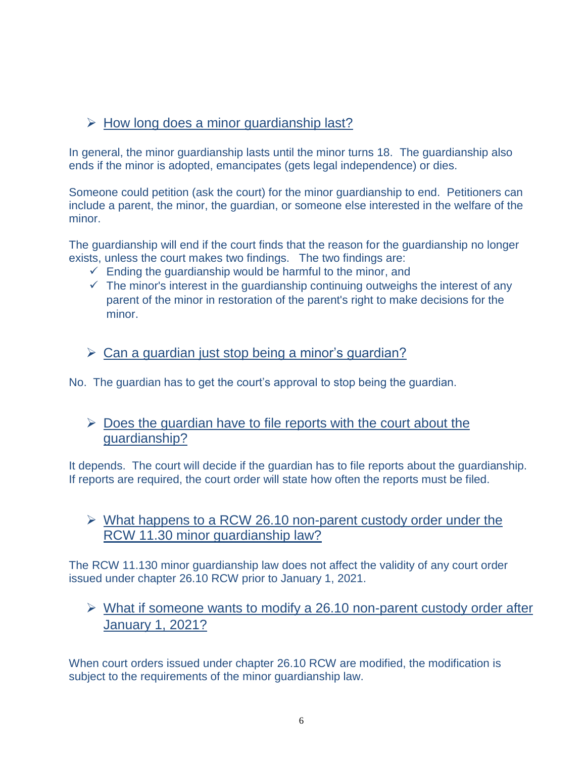# $\triangleright$  How long does a minor guardianship last?

In general, the minor guardianship lasts until the minor turns 18. The guardianship also ends if the minor is adopted, emancipates (gets legal independence) or dies.

Someone could petition (ask the court) for the minor guardianship to end. Petitioners can include a parent, the minor, the guardian, or someone else interested in the welfare of the minor.

The guardianship will end if the court finds that the reason for the guardianship no longer exists, unless the court makes two findings. The two findings are:

- $\checkmark$  Ending the guardianship would be harmful to the minor, and
- $\checkmark$  The minor's interest in the guardianship continuing outweighs the interest of any parent of the minor in restoration of the parent's right to make decisions for the minor.

#### $\triangleright$  Can a guardian just stop being a minor's guardian?

No. The guardian has to get the court's approval to stop being the guardian.

#### $\triangleright$  Does the guardian have to file reports with the court about the guardianship?

It depends. The court will decide if the guardian has to file reports about the guardianship. If reports are required, the court order will state how often the reports must be filed.

#### $\triangleright$  What happens to a RCW 26.10 non-parent custody order under the RCW 11.30 minor guardianship law?

The RCW 11.130 minor guardianship law does not affect the validity of any court order issued under chapter 26.10 RCW prior to January 1, 2021.

# $\triangleright$  What if someone wants to modify a 26.10 non-parent custody order after January 1, 2021?

When court orders issued under chapter 26.10 RCW are modified, the modification is subject to the requirements of the minor guardianship law.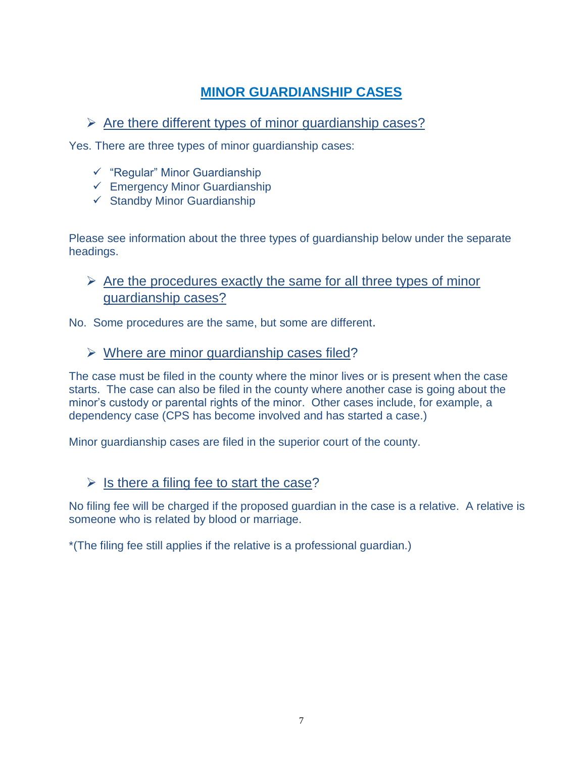# **MINOR GUARDIANSHIP CASES**

# $\triangleright$  Are there different types of minor guardianship cases?

Yes. There are three types of minor guardianship cases:

- $\checkmark$  "Regular" Minor Guardianship
- $\checkmark$  Emergency Minor Guardianship
- $\checkmark$  Standby Minor Guardianship

Please see information about the three types of guardianship below under the separate headings.

 $\triangleright$  Are the procedures exactly the same for all three types of minor guardianship cases?

No. Some procedures are the same, but some are different.

#### $\triangleright$  Where are minor guardianship cases filed?

The case must be filed in the county where the minor lives or is present when the case starts. The case can also be filed in the county where another case is going about the minor's custody or parental rights of the minor. Other cases include, for example, a dependency case (CPS has become involved and has started a case.)

Minor guardianship cases are filed in the superior court of the county.

#### $\triangleright$  Is there a filing fee to start the case?

No filing fee will be charged if the proposed guardian in the case is a relative. A relative is someone who is related by blood or marriage.

\*(The filing fee still applies if the relative is a professional guardian.)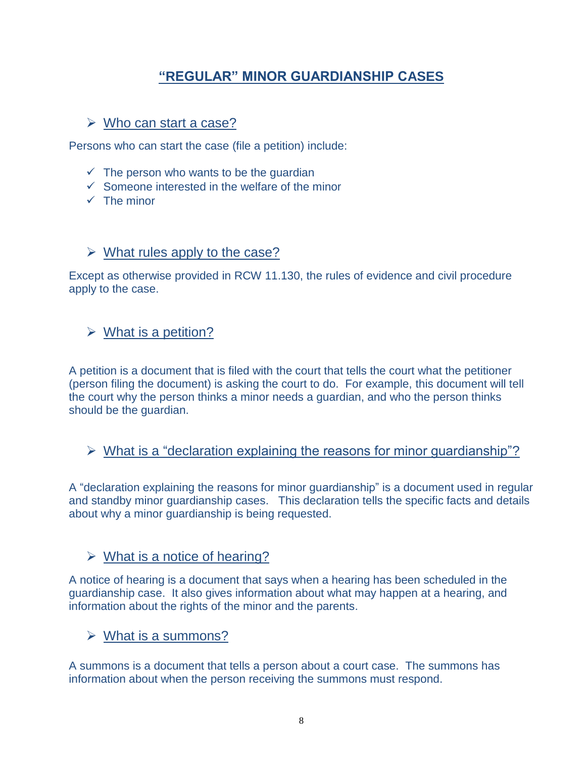# **"REGULAR" MINOR GUARDIANSHIP CASES**

#### $\triangleright$  Who can start a case?

Persons who can start the case (file a petition) include:

- $\checkmark$  The person who wants to be the quardian
- $\checkmark$  Someone interested in the welfare of the minor
- $\checkmark$  The minor

#### $\triangleright$  What rules apply to the case?

Except as otherwise provided in RCW 11.130, the rules of evidence and civil procedure apply to the case.

#### $\triangleright$  What is a petition?

A petition is a document that is filed with the court that tells the court what the petitioner (person filing the document) is asking the court to do. For example, this document will tell the court why the person thinks a minor needs a guardian, and who the person thinks should be the guardian.

 $\triangleright$  What is a "declaration explaining the reasons for minor quardianship"?

A "declaration explaining the reasons for minor guardianship" is a document used in regular and standby minor guardianship cases. This declaration tells the specific facts and details about why a minor guardianship is being requested.

#### $\triangleright$  What is a notice of hearing?

A notice of hearing is a document that says when a hearing has been scheduled in the guardianship case. It also gives information about what may happen at a hearing, and information about the rights of the minor and the parents.

#### $\triangleright$  What is a summons?

A summons is a document that tells a person about a court case. The summons has information about when the person receiving the summons must respond.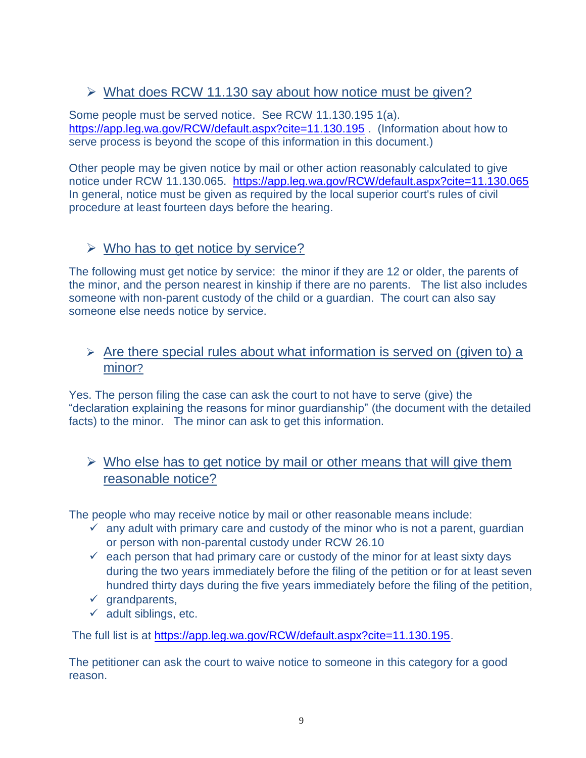# $\triangleright$  What does RCW 11.130 say about how notice must be given?

Some people must be served notice. See RCW 11.130.195 1(a). <https://app.leg.wa.gov/RCW/default.aspx?cite=11.130.195> . (Information about how to serve process is beyond the scope of this information in this document.)

Other people may be given notice by mail or other action reasonably calculated to give notice under RCW 11.130.065. <https://app.leg.wa.gov/RCW/default.aspx?cite=11.130.065> In general, notice must be given as required by the local superior court's rules of civil procedure at least fourteen days before the hearing.

# $\triangleright$  Who has to get notice by service?

The following must get notice by service: the minor if they are 12 or older, the parents of the minor, and the person nearest in kinship if there are no parents. The list also includes someone with non-parent custody of the child or a guardian. The court can also say someone else needs notice by service.

#### $\triangleright$  Are there special rules about what information is served on (given to) a minor?

Yes. The person filing the case can ask the court to not have to serve (give) the "declaration explaining the reasons for minor guardianship" (the document with the detailed facts) to the minor. The minor can ask to get this information.

# $\triangleright$  Who else has to get notice by mail or other means that will give them reasonable notice?

The people who may receive notice by mail or other reasonable means include:

- $\checkmark$  any adult with primary care and custody of the minor who is not a parent, guardian or person with non-parental custody under RCW 26.10
- $\checkmark$  each person that had primary care or custody of the minor for at least sixty days during the two years immediately before the filing of the petition or for at least seven hundred thirty days during the five years immediately before the filing of the petition,
- $\checkmark$  grandparents,
- $\checkmark$  adult siblings, etc.

The full list is at [https://app.leg.wa.gov/RCW/default.aspx?cite=11.130.195.](https://app.leg.wa.gov/RCW/default.aspx?cite=11.130.195)

The petitioner can ask the court to waive notice to someone in this category for a good reason.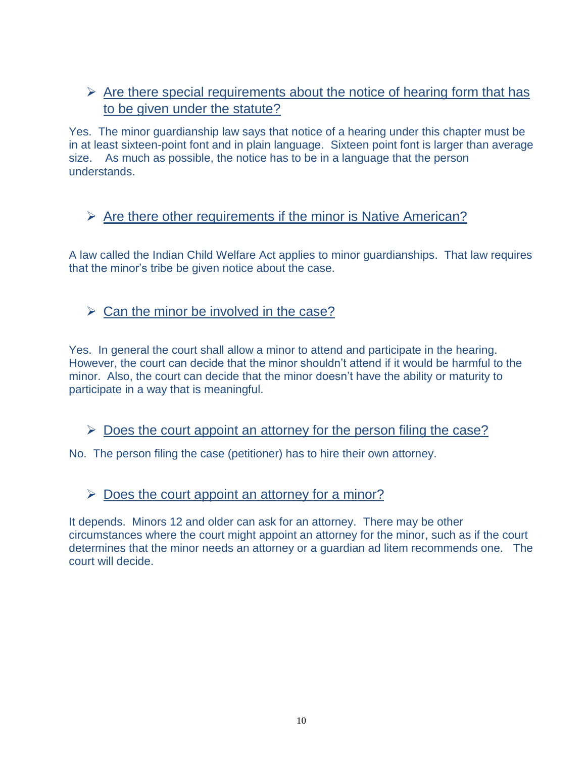# $\triangleright$  Are there special requirements about the notice of hearing form that has to be given under the statute?

Yes. The minor guardianship law says that notice of a hearing under this chapter must be in at least sixteen-point font and in plain language. Sixteen point font is larger than average size. As much as possible, the notice has to be in a language that the person understands.

# $\triangleright$  Are there other requirements if the minor is Native American?

A law called the Indian Child Welfare Act applies to minor guardianships. That law requires that the minor's tribe be given notice about the case.

# $\triangleright$  Can the minor be involved in the case?

Yes. In general the court shall allow a minor to attend and participate in the hearing. However, the court can decide that the minor shouldn't attend if it would be harmful to the minor. Also, the court can decide that the minor doesn't have the ability or maturity to participate in a way that is meaningful.

 $\triangleright$  Does the court appoint an attorney for the person filing the case?

No. The person filing the case (petitioner) has to hire their own attorney.

# $\triangleright$  Does the court appoint an attorney for a minor?

It depends. Minors 12 and older can ask for an attorney. There may be other circumstances where the court might appoint an attorney for the minor, such as if the court determines that the minor needs an attorney or a guardian ad litem recommends one. The court will decide.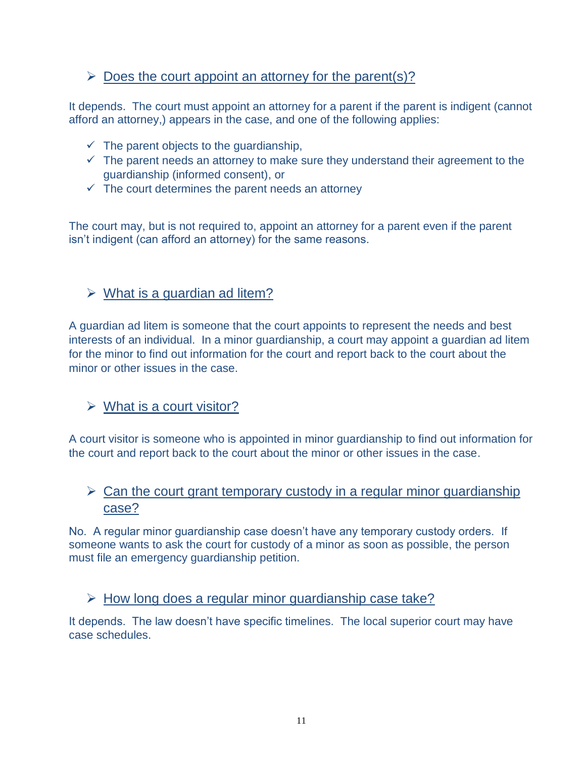# $\triangleright$  Does the court appoint an attorney for the parent(s)?

It depends. The court must appoint an attorney for a parent if the parent is indigent (cannot afford an attorney,) appears in the case, and one of the following applies:

- $\checkmark$  The parent objects to the guardianship,
- $\checkmark$  The parent needs an attorney to make sure they understand their agreement to the guardianship (informed consent), or
- $\checkmark$  The court determines the parent needs an attorney

The court may, but is not required to, appoint an attorney for a parent even if the parent isn't indigent (can afford an attorney) for the same reasons.

# $\triangleright$  What is a guardian ad litem?

A guardian ad litem is someone that the court appoints to represent the needs and best interests of an individual. In a minor guardianship, a court may appoint a guardian ad litem for the minor to find out information for the court and report back to the court about the minor or other issues in the case.

# $\triangleright$  What is a court visitor?

A court visitor is someone who is appointed in minor guardianship to find out information for the court and report back to the court about the minor or other issues in the case.

# $\triangleright$  Can the court grant temporary custody in a regular minor guardianship case?

No. A regular minor guardianship case doesn't have any temporary custody orders. If someone wants to ask the court for custody of a minor as soon as possible, the person must file an emergency guardianship petition.

# $\triangleright$  How long does a regular minor guardianship case take?

It depends. The law doesn't have specific timelines. The local superior court may have case schedules.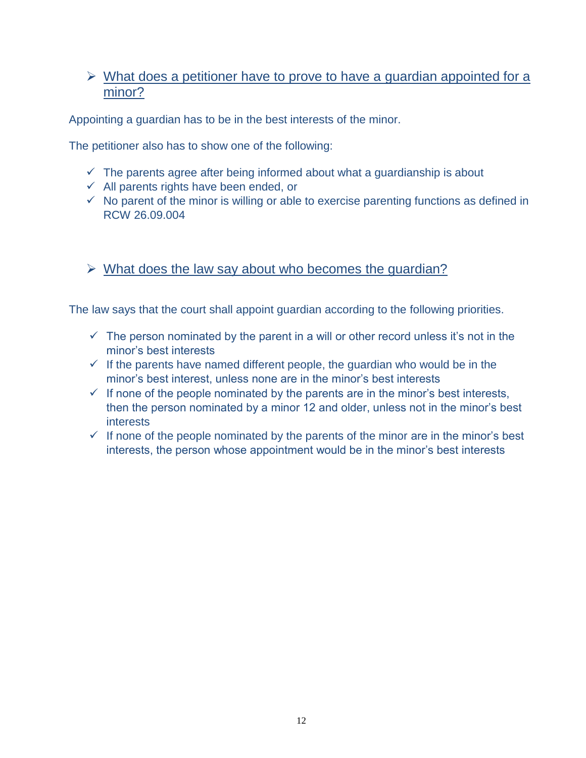#### $\triangleright$  What does a petitioner have to prove to have a guardian appointed for a minor?

Appointing a guardian has to be in the best interests of the minor.

The petitioner also has to show one of the following:

- $\checkmark$  The parents agree after being informed about what a guardianship is about
- $\checkmark$  All parents rights have been ended, or
- $\checkmark$  No parent of the minor is willing or able to exercise parenting functions as defined in RCW 26.09.004
- $\triangleright$  What does the law say about who becomes the quardian?

The law says that the court shall appoint guardian according to the following priorities.

- $\checkmark$  The person nominated by the parent in a will or other record unless it's not in the minor's best interests
- $\checkmark$  If the parents have named different people, the guardian who would be in the minor's best interest, unless none are in the minor's best interests
- $\checkmark$  If none of the people nominated by the parents are in the minor's best interests, then the person nominated by a minor 12 and older, unless not in the minor's best **interests**
- $\checkmark$  If none of the people nominated by the parents of the minor are in the minor's best interests, the person whose appointment would be in the minor's best interests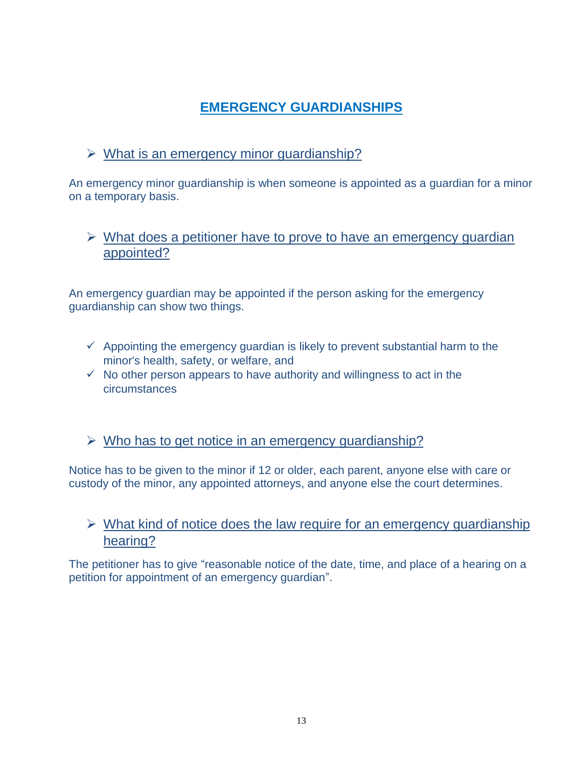# **EMERGENCY GUARDIANSHIPS**

# $\triangleright$  What is an emergency minor guardianship?

An emergency minor guardianship is when someone is appointed as a guardian for a minor on a temporary basis.

# $\triangleright$  What does a petitioner have to prove to have an emergency quardian appointed?

An emergency guardian may be appointed if the person asking for the emergency guardianship can show two things.

- $\checkmark$  Appointing the emergency guardian is likely to prevent substantial harm to the minor's health, safety, or welfare, and
- $\checkmark$  No other person appears to have authority and willingness to act in the circumstances
- $\triangleright$  Who has to get notice in an emergency guardianship?

Notice has to be given to the minor if 12 or older, each parent, anyone else with care or custody of the minor, any appointed attorneys, and anyone else the court determines.

# $\triangleright$  What kind of notice does the law require for an emergency guardianship hearing?

The petitioner has to give "reasonable notice of the date, time, and place of a hearing on a petition for appointment of an emergency guardian".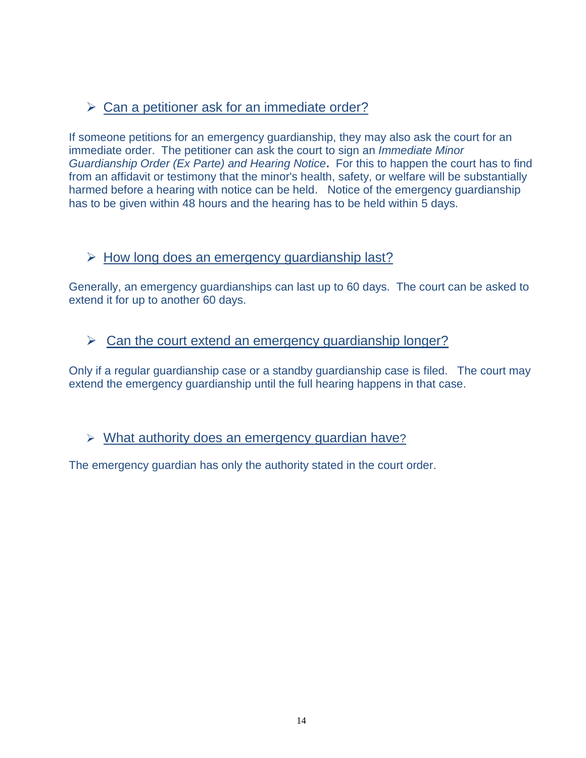# $\triangleright$  Can a petitioner ask for an immediate order?

If someone petitions for an emergency guardianship, they may also ask the court for an immediate order. The petitioner can ask the court to sign an *Immediate Minor Guardianship Order (Ex Parte) and Hearing Notice***.** For this to happen the court has to find from an affidavit or testimony that the minor's health, safety, or welfare will be substantially harmed before a hearing with notice can be held. Notice of the emergency guardianship has to be given within 48 hours and the hearing has to be held within 5 days.

#### $\triangleright$  How long does an emergency quardianship last?

Generally, an emergency guardianships can last up to 60 days. The court can be asked to extend it for up to another 60 days.

#### $\triangleright$  Can the court extend an emergency guardianship longer?

Only if a regular guardianship case or a standby guardianship case is filed. The court may extend the emergency guardianship until the full hearing happens in that case.

#### What authority does an emergency guardian have?

The emergency guardian has only the authority stated in the court order.